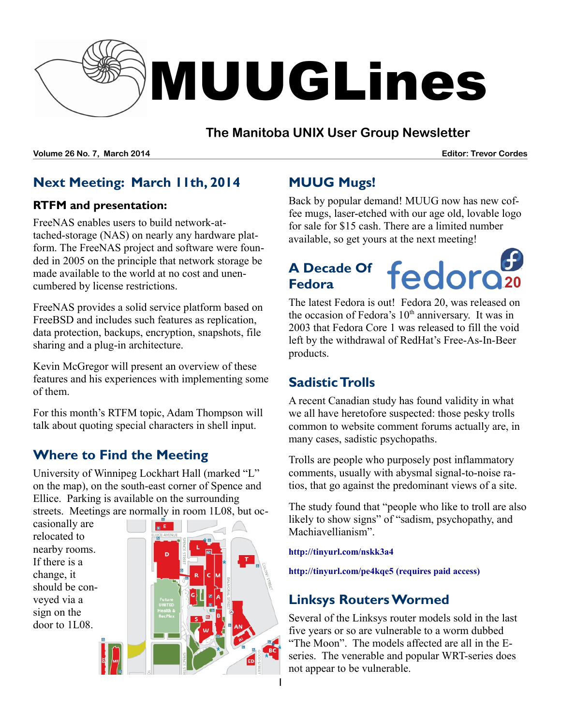

#### **The Manitoba UNIX User Group Newsletter**

**Volume 26 No. 7, March 2014 Editor: Trevor Cordes**

# **Next Meeting: March 11th, 2014**

#### **RTFM and presentation:**

FreeNAS enables users to build network-attached-storage (NAS) on nearly any hardware platform. The FreeNAS project and software were founded in 2005 on the principle that network storage be made available to the world at no cost and unencumbered by license restrictions.

FreeNAS provides a solid service platform based on FreeBSD and includes such features as replication, data protection, backups, encryption, snapshots, file sharing and a plug-in architecture.

Kevin McGregor will present an overview of these features and his experiences with implementing some of them.

For this month's RTFM topic, Adam Thompson will talk about quoting special characters in shell input.

# **Where to Find the Meeting**

University of Winnipeg Lockhart Hall (marked "L" on the map), on the south-east corner of Spence and Ellice. Parking is available on the surrounding streets. Meetings are normally in room 1L08, but oc-

casionally are relocated to nearby rooms. If there is a change, it should be conveyed via a sign on the door to 1L08.



# **MUUG Mugs!**

Back by popular demand! MUUG now has new coffee mugs, laser-etched with our age old, lovable logo for sale for \$15 cash. There are a limited number available, so get yours at the next meeting!

# **A Decade Of Fedora**

The latest Fedora is out! Fedora 20, was released on the occasion of Fedora's  $10<sup>th</sup>$  anniversary. It was in 2003 that Fedora Core 1 was released to fill the void left by the withdrawal of RedHat's Free-As-In-Beer products.

# **Sadistic Trolls**

A recent Canadian study has found validity in what we all have heretofore suspected: those pesky trolls common to website comment forums actually are, in many cases, sadistic psychopaths.

Trolls are people who purposely post inflammatory comments, usually with abysmal signal-to-noise ratios, that go against the predominant views of a site.

The study found that "people who like to troll are also likely to show signs" of "sadism, psychopathy, and Machiavellianism".

**<http://tinyurl.com/nskk3a4>**

**<http://tinyurl.com/pe4kqe5>(requires paid access)**

# **Linksys Routers Wormed**

Several of the Linksys router models sold in the last five years or so are vulnerable to a worm dubbed "The Moon". The models affected are all in the Eseries. The venerable and popular WRT-series does not appear to be vulnerable.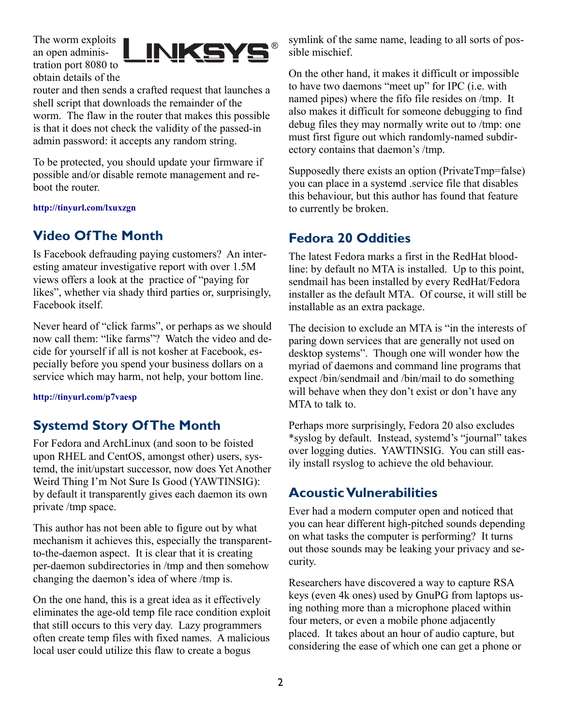The worm exploits an open administration port 8080 to obtain details of the



router and then sends a crafted request that launches a shell script that downloads the remainder of the worm. The flaw in the router that makes this possible is that it does not check the validity of the passed-in admin password: it accepts any random string.

To be protected, you should update your firmware if possible and/or disable remote management and reboot the router.

**<http://tinyurl.com/lxuxzgn>**

### **Video Of The Month**

Is Facebook defrauding paying customers? An interesting amateur investigative report with over 1.5M views offers a look at the practice of "paying for likes", whether via shady third parties or, surprisingly, Facebook itself.

Never heard of "click farms", or perhaps as we should now call them: "like farms"? Watch the video and decide for yourself if all is not kosher at Facebook, especially before you spend your business dollars on a service which may harm, not help, your bottom line.

**<http://tinyurl.com/p7vaesp>**

### **Systemd Story Of The Month**

For Fedora and ArchLinux (and soon to be foisted upon RHEL and CentOS, amongst other) users, systemd, the init/upstart successor, now does Yet Another Weird Thing I'm Not Sure Is Good (YAWTINSIG): by default it transparently gives each daemon its own private /tmp space.

This author has not been able to figure out by what mechanism it achieves this, especially the transparentto-the-daemon aspect. It is clear that it is creating per-daemon subdirectories in /tmp and then somehow changing the daemon's idea of where /tmp is.

On the one hand, this is a great idea as it effectively eliminates the age-old temp file race condition exploit that still occurs to this very day. Lazy programmers often create temp files with fixed names. A malicious local user could utilize this flaw to create a bogus

symlink of the same name, leading to all sorts of possible mischief.

On the other hand, it makes it difficult or impossible to have two daemons "meet up" for IPC (i.e. with named pipes) where the fifo file resides on /tmp. It also makes it difficult for someone debugging to find debug files they may normally write out to /tmp: one must first figure out which randomly-named subdirectory contains that daemon's /tmp.

Supposedly there exists an option (PrivateTmp=false) you can place in a systemd .service file that disables this behaviour, but this author has found that feature to currently be broken.

### **Fedora 20 Oddities**

The latest Fedora marks a first in the RedHat bloodline: by default no MTA is installed. Up to this point, sendmail has been installed by every RedHat/Fedora installer as the default MTA. Of course, it will still be installable as an extra package.

The decision to exclude an MTA is "in the interests of paring down services that are generally not used on desktop systems". Though one will wonder how the myriad of daemons and command line programs that expect /bin/sendmail and /bin/mail to do something will behave when they don't exist or don't have any MTA to talk to.

Perhaps more surprisingly, Fedora 20 also excludes \*syslog by default. Instead, systemd's "journal" takes over logging duties. YAWTINSIG. You can still easily install rsyslog to achieve the old behaviour.

#### **Acoustic Vulnerabilities**

Ever had a modern computer open and noticed that you can hear different high-pitched sounds depending on what tasks the computer is performing? It turns out those sounds may be leaking your privacy and security.

Researchers have discovered a way to capture RSA keys (even 4k ones) used by GnuPG from laptops using nothing more than a microphone placed within four meters, or even a mobile phone adjacently placed. It takes about an hour of audio capture, but considering the ease of which one can get a phone or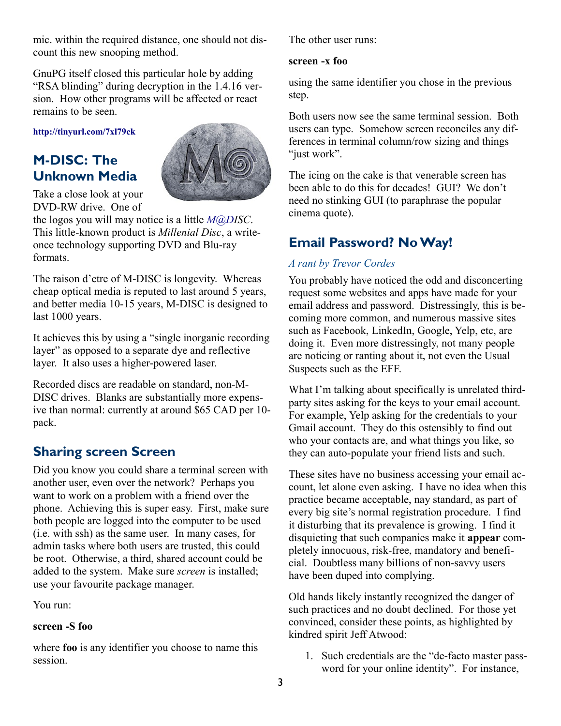mic. within the required distance, one should not discount this new snooping method.

GnuPG itself closed this particular hole by adding "RSA blinding" during decryption in the 1.4.16 version. How other programs will be affected or react remains to be seen.

**<http://tinyurl.com/7xl79ck>**

# **M-DISC: The Unknown Media**



Take a close look at your DVD-RW drive. One of

the logos you will may notice is a little *[M@DI](mailto:M@Disc)SC*. This little-known product is *Millenial Disc*, a writeonce technology supporting DVD and Blu-ray formats.

The raison d'etre of M-DISC is longevity. Whereas cheap optical media is reputed to last around 5 years, and better media 10-15 years, M-DISC is designed to last 1000 years.

It achieves this by using a "single inorganic recording layer" as opposed to a separate dye and reflective layer. It also uses a higher-powered laser.

Recorded discs are readable on standard, non-M-DISC drives. Blanks are substantially more expensive than normal: currently at around \$65 CAD per 10 pack.

### **Sharing screen Screen**

Did you know you could share a terminal screen with another user, even over the network? Perhaps you want to work on a problem with a friend over the phone. Achieving this is super easy. First, make sure both people are logged into the computer to be used (i.e. with ssh) as the same user. In many cases, for admin tasks where both users are trusted, this could be root. Otherwise, a third, shared account could be added to the system. Make sure *screen* is installed; use your favourite package manager.

You run:

#### **screen -S foo**

where **foo** is any identifier you choose to name this session.

The other user runs:

#### **screen -x foo**

using the same identifier you chose in the previous step.

Both users now see the same terminal session. Both users can type. Somehow screen reconciles any differences in terminal column/row sizing and things "just work".

The icing on the cake is that venerable screen has been able to do this for decades! GUI? We don't need no stinking GUI (to paraphrase the popular cinema quote).

#### **Email Password? No Way!**

#### *A rant by Trevor Cordes*

You probably have noticed the odd and disconcerting request some websites and apps have made for your email address and password. Distressingly, this is becoming more common, and numerous massive sites such as Facebook, LinkedIn, Google, Yelp, etc, are doing it. Even more distressingly, not many people are noticing or ranting about it, not even the Usual Suspects such as the EFF.

What I'm talking about specifically is unrelated thirdparty sites asking for the keys to your email account. For example, Yelp asking for the credentials to your Gmail account. They do this ostensibly to find out who your contacts are, and what things you like, so they can auto-populate your friend lists and such.

These sites have no business accessing your email account, let alone even asking. I have no idea when this practice became acceptable, nay standard, as part of every big site's normal registration procedure. I find it disturbing that its prevalence is growing. I find it disquieting that such companies make it **appear** completely innocuous, risk-free, mandatory and beneficial. Doubtless many billions of non-savvy users have been duped into complying.

Old hands likely instantly recognized the danger of such practices and no doubt declined. For those yet convinced, consider these points, as highlighted by kindred spirit Jeff Atwood:

1. Such credentials are the "de-facto master password for your online identity". For instance,